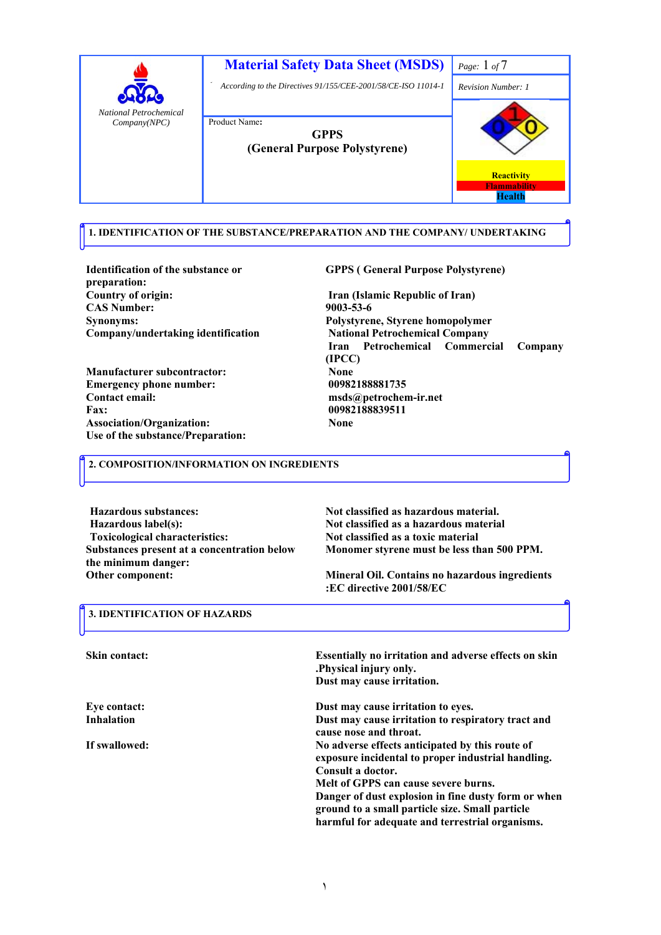

 **1. IDENTIFICATION OF THE SUBSTANCE/PREPARATION AND THE COMPANY/ UNDERTAKING**

**Identification of the substance or preparation: Country of origin: Iran (Islamic Republic of Iran) CAS Number: 9003-53-6 Synonyms: Polystyrene, Styrene homopolymer Company/undertaking identification** 

**Manufacturer subcontractor:** None<br> **Emergency phone number:** 00982188881735 **Emergency phone number: Contact email: msds@petrochem-ir.net Fax: 00982188839511 Association/Organization: None Use of the substance/Preparation:** 

 **GPPS ( General Purpose Polystyrene)**

 **National Petrochemical Company Iran Petrochemical Commercial Company (IPCC)** 

### **2. COMPOSITION/INFORMATION ON INGREDIENTS**

**Hazardous substances: Not classified as hazardous material. Hazardous label(s): Not classified as a hazardous material Toxicological characteristics: Not classified as a toxic material Substances present at a concentration below Monomer styrene must be less than 500 PPM. the minimum danger: Other component:** 

**Mineral Oil. Contains no hazardous ingredients :EC directive 2001/58/EC** 

## **3. IDENTIFICATION OF HAZARDS**

| <b>Skin contact:</b> | <b>Essentially no irritation and adverse effects on skin</b><br>. Physical injury only.<br>Dust may cause irritation.                                              |
|----------------------|--------------------------------------------------------------------------------------------------------------------------------------------------------------------|
| Eye contact:         | Dust may cause irritation to eyes.                                                                                                                                 |
| <b>Inhalation</b>    | Dust may cause irritation to respiratory tract and<br>cause nose and throat.                                                                                       |
| If swallowed:        | No adverse effects anticipated by this route of<br>exposure incidental to proper industrial handling.<br>Consult a doctor.<br>Melt of GPPS can cause severe burns. |
|                      | Danger of dust explosion in fine dusty form or when<br>ground to a small particle size. Small particle<br>harmful for adequate and terrestrial organisms.          |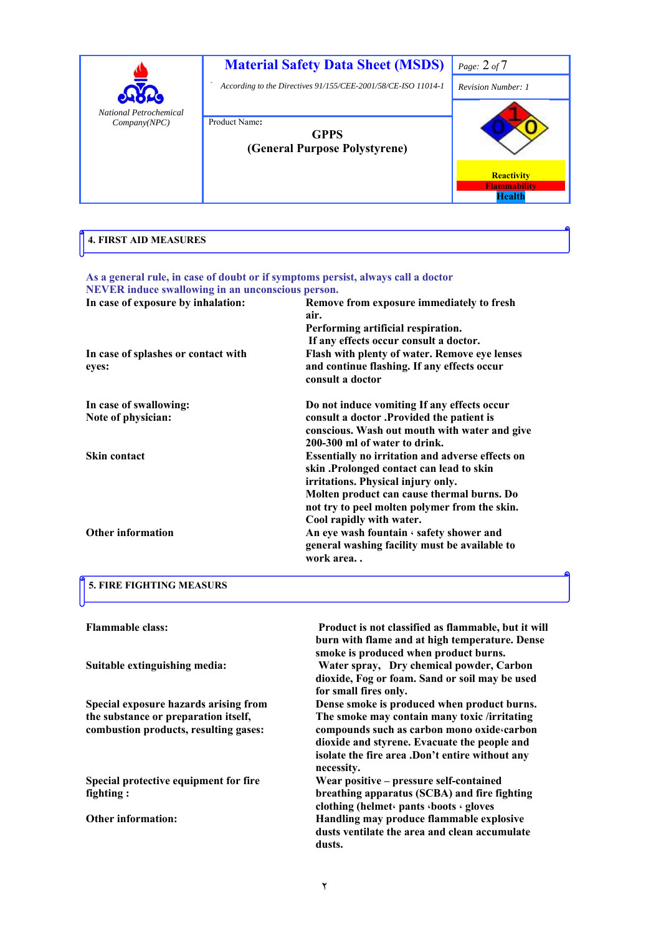

| 4. FIRST AID MEASURES |  |
|-----------------------|--|
|                       |  |

| As a general rule, in case of doubt or if symptoms persist, always call a doctor |                                                         |
|----------------------------------------------------------------------------------|---------------------------------------------------------|
| NEVER induce swallowing in an unconscious person.                                |                                                         |
| In case of exposure by inhalation:                                               | Remove from exposure immediately to fresh               |
|                                                                                  | air.                                                    |
|                                                                                  | Performing artificial respiration.                      |
|                                                                                  | If any effects occur consult a doctor.                  |
| In case of splashes or contact with                                              | Flash with plenty of water. Remove eye lenses           |
| eyes:                                                                            | and continue flashing. If any effects occur             |
|                                                                                  | consult a doctor                                        |
| In case of swallowing:                                                           | Do not induce vomiting If any effects occur             |
| Note of physician:                                                               | consult a doctor .Provided the patient is               |
|                                                                                  | conscious. Wash out mouth with water and give           |
|                                                                                  | 200-300 ml of water to drink.                           |
| <b>Skin contact</b>                                                              | <b>Essentially no irritation and adverse effects on</b> |
|                                                                                  | skin .Prolonged contact can lead to skin                |
|                                                                                  | irritations. Physical injury only.                      |
|                                                                                  | Molten product can cause thermal burns. Do              |
|                                                                                  | not try to peel molten polymer from the skin.           |
|                                                                                  | Cool rapidly with water.                                |
| <b>Other information</b>                                                         | An eye wash fountain $\cdot$ safety shower and          |
|                                                                                  | general washing facility must be available to           |
|                                                                                  | work area                                               |
|                                                                                  |                                                         |

#### **5. FIRE FIGHTING MEASURS**

 **Product is not classified as flammable, but it will burn with flame and at high temperature. Dense smoke is produced when product burns. Flammable class: Suitable extinguishing media: Water spray, Dry chemical powder, Carbon dioxide, Fog or foam. Sand or soil may be used for small fires only. Special exposure hazards arising from the substance or preparation itself, combustion products, resulting gases: Dense smoke is produced when product burns. The smoke may contain many toxic /irritating compounds such as carbon mono oxide،carbon dioxide and styrene. Evacuate the people and isolate the fire area .Don't entire without any necessity. Wear positive – pressure self-contained breathing apparatus (SCBA) and fire fighting clothing (helmet، pants ،boots ، gloves Special protective equipment for fire fighting : Other information: Handling may produce flammable explosive dusts ventilate the area and clean accumulate** 

**dusts.**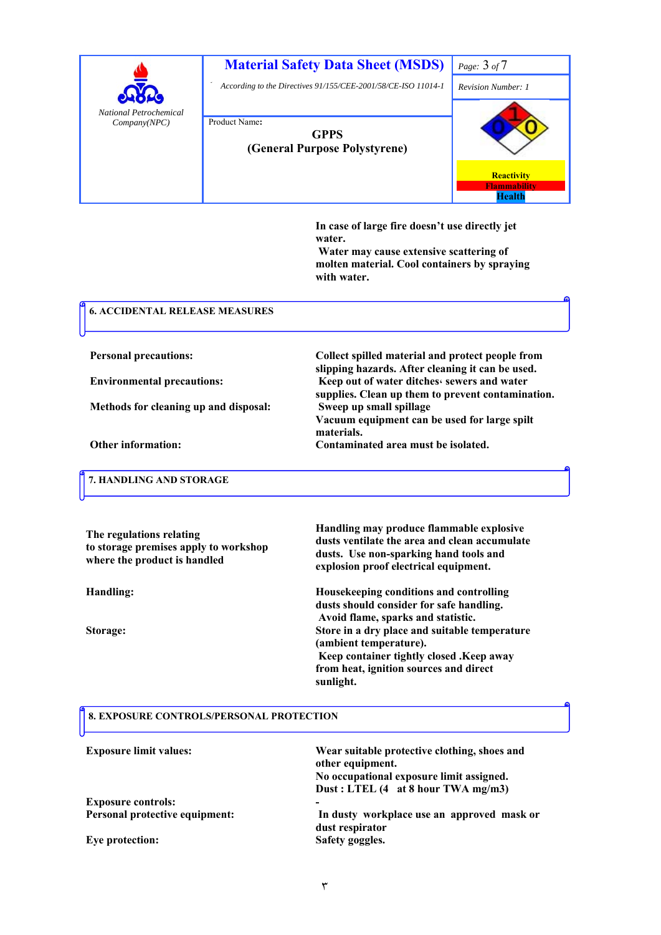

**materials.** 

**In case of large fire doesn't use directly jet water.** 

 **Water may cause extensive scattering of molten material. Cool containers by spraying with water.** 

**slipping hazards. After cleaning it can be used.** 

**Vacuum equipment can be used for large spilt** 

**supplies. Clean up them to prevent contamination.** 

#### **6. ACCIDENTAL RELEASE MEASURES**

**Personal precautions: Collect spilled material and protect people from** 

**Environmental precautions:** Keep out of water ditches<sub>**s**</sub> sewers and water

**Methods for cleaning up and disposal: Sweep up small spillage** 

**Other information: Contaminated area must be isolated.** 

**The regulations relating** 

**where the product is handled** 

 **7. HANDLING AND STORAGE**

**to storage premises apply to workshop** 

**Handling may produce flammable explosive dusts ventilate the area and clean accumulate dusts. Use non-sparking hand tools and explosion proof electrical equipment.** 

**Handling: Housekeeping conditions and controlling dusts should consider for safe handling. Avoid flame, sparks and statistic. Storage: Store in a dry place and suitable temperature (ambient temperature). Keep container tightly closed .Keep away from heat, ignition sources and direct sunlight.** 

#### **8. EXPOSURE CONTROLS/PERSONAL PROTECTION**

| <b>Exposure limit values:</b>  | Wear suitable protective clothing, shoes and<br>other equipment.<br>No occupational exposure limit assigned.<br>Dust: LTEL (4 at 8 hour TWA mg/m3) |
|--------------------------------|----------------------------------------------------------------------------------------------------------------------------------------------------|
| <b>Exposure controls:</b>      | -                                                                                                                                                  |
| Personal protective equipment: | In dusty workplace use an approved mask or<br>dust respirator                                                                                      |
| Eye protection:                | Safety goggles.                                                                                                                                    |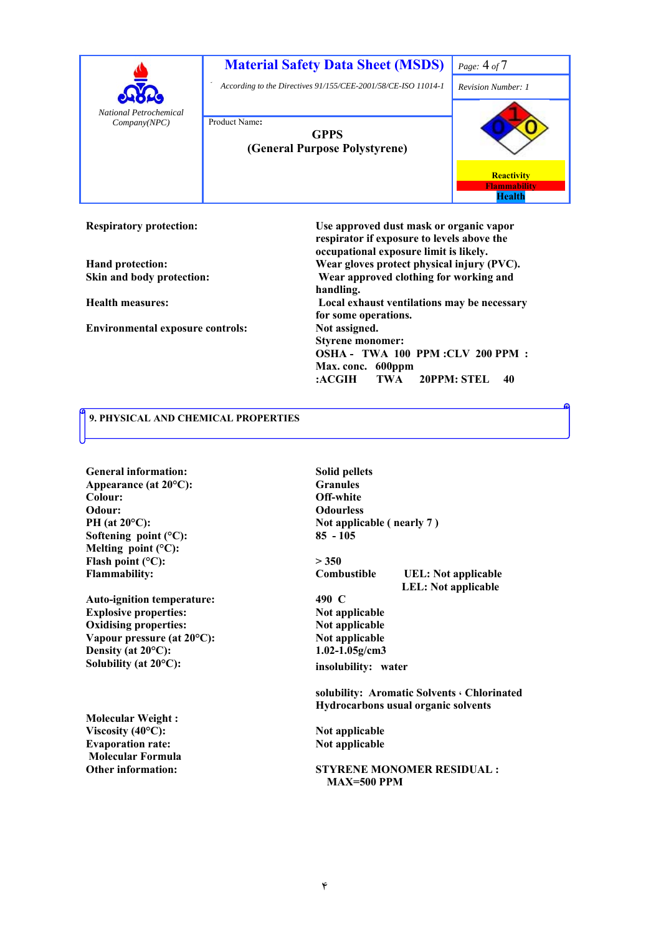

**Respiratory protection:** 

**Skin and body protection:** 

**Health measures:** 

**Environmental exposure controls:** 

**Use approved dust mask or organic vapor respirator if exposure to levels above the occupational exposure limit is likely. Hand protection: Wear gloves protect physical injury (PVC). Wear approved clothing for working and handling. Local exhaust ventilations may be necessary for some operations. Not assigned. Styrene monomer: OSHA - TWA 100 PPM :CLV 200 PPM : Max. conc. 600ppm :ACGIH TWA 20PPM: STEL 40** 

#### **9. PHYSICAL AND CHEMICAL PROPERTIES**

**General information: Solid pellets Appearance (at 20°C): Granules Colour: Off-white Odour:** Odourless **Softening point (°C): 85 - 105 Melting point (°C):**  Flash point  $(^{\circ}C)$ :  $> 350$ **Flammability:** 

**Auto-ignition temperature: 490 C Explosive properties:** Not applicable<br> **Oxidising properties:** Not applicable<br>
Not applicable Oxidising properties:<br>
Vapour pressure (at 20<sup>o</sup>C):<br>
Not applicable<br>
Not applicable **Vapour pressure (at 20°C): Density (at 20°C): 1.02-1.05g/cm3 Solubility (at 20°C):** 

**Molecular Weight :**  Viscosity (40°C): Not applicable **Evaporation rate:** Not applicable  **Molecular Formula** 

PH (at 20<sup>o</sup>C): Not applicable ( nearly 7 )

**Combustible UEL: Not applicable LEL: Not applicable** 

**insolubility: water** 

**solubility: Aromatic Solvents ، Chlorinated Hydrocarbons usual organic solvents** 

**Other information: STYRENE MONOMER RESIDUAL : MAX=500 PPM**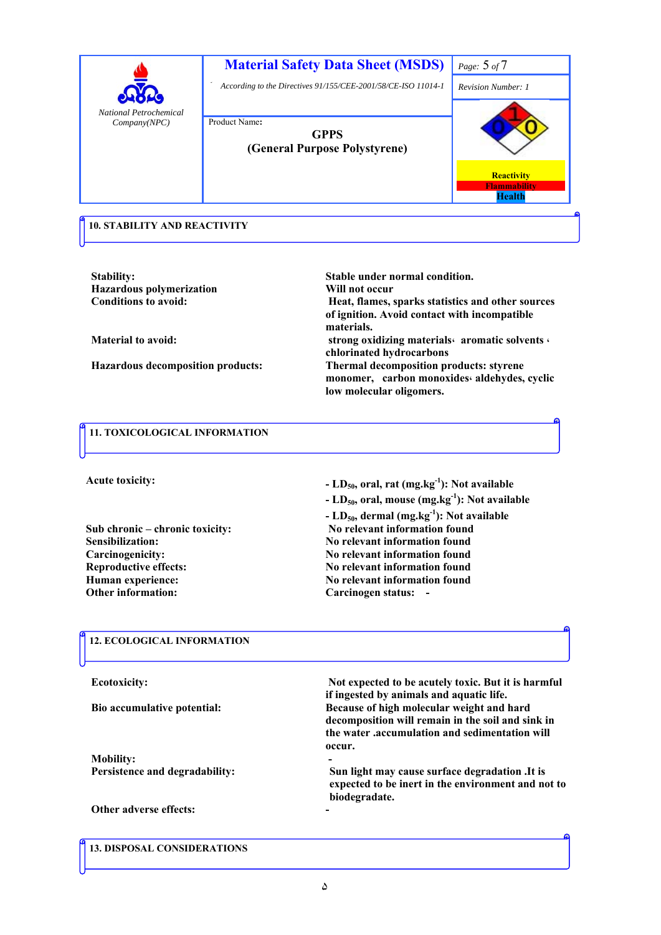

**Hazardous polymerization Will not occur** 

**Stability:** Stable under normal condition. **Conditions to avoid: Heat, flames, sparks statistics and other sources of ignition. Avoid contact with incompatible materials. Material to avoid: strong oxidizing materials، aromatic solvents ، chlorinated hydrocarbons Hazardous decomposition products: Thermal decomposition products: styrene monomer, carbon monoxides، aldehydes, cyclic low molecular oligomers.** 

## **11. TOXICOLOGICAL INFORMATION**

**Acute toxicity:** 

**Sensibilization: No relevant information found Human experience: No relevant information found Other information:** Carcinogen status: -

**- LD50, oral, rat (mg.kg-1): Not available** 

**- LD50, oral, mouse (mg.kg-1): Not available** 

**- LD50, dermal (mg.kg-1): Not available Sub chronic – chronic toxicity: No relevant information found Carcinogenicity: No relevant information found Reproductive effects:** No relevant information found **No** 

#### **12. ECOLOGICAL INFORMATION**

 **Not expected to be acutely toxic. But it is harmful if ingested by animals and aquatic life. Ecotoxicity: Because of high molecular weight and hard decomposition will remain in the soil and sink in the water .accumulation and sedimentation will occur. Bio accumulative potential: Mobility: Sun light may cause surface degradation .It is expected to be inert in the environment and not to biodegradate. Persistence and degradability: Other adverse effects:** 

 **13. DISPOSAL CONSIDERATIONS**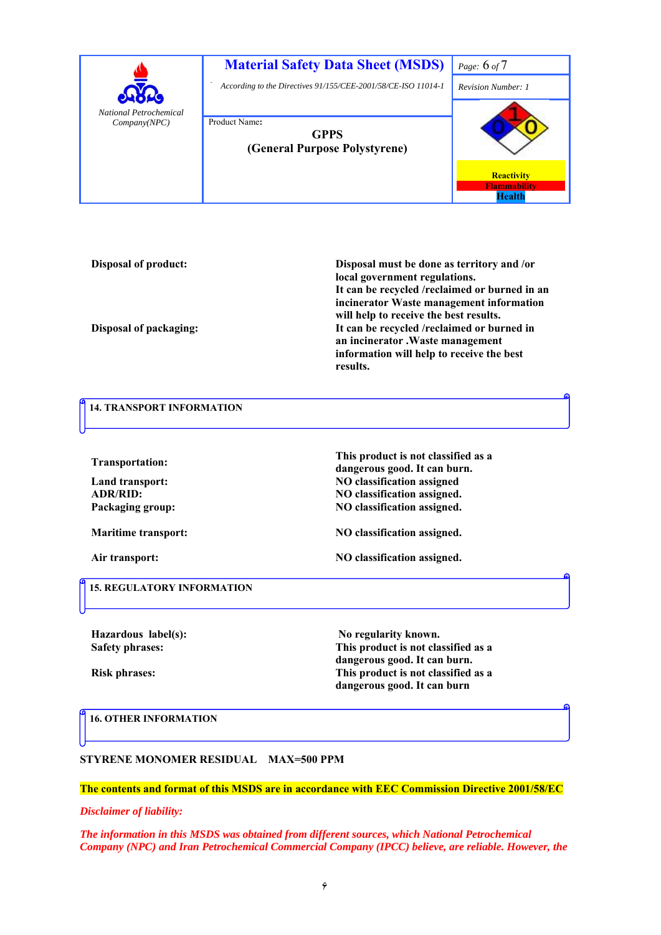

**Disposal of product:** 

**Disposal must be done as territory and /or local government regulations. It can be recycled /reclaimed or burned in an incinerator Waste management information will help to receive the best results. Disposal of packaging: It can be recycled /reclaimed or burned in an incinerator .Waste management information will help to receive the best results.** 

# **14. TRANSPORT INFORMATION**

**diam defining the contract of the contract of the contract of the contract of the contract of the contract of the contract of the contract of the contract of the contract of the contract of the contract of the contract** 

Land transport: NO classification assigned ADR/RID: NO classification assigned.<br>
Packaging group: NO classification assigned.

Air transport: NO classification assigned.

Maritime transport: NO classification assigned.

**NO classification assigned.** 

**This product is not classified as a** 

 **15. REGULATORY INFORMATION**

Hazardous label(s): No regularity known. **Safety phrases:** 

**This product is not classified as a dangerous good. It can burn. Risk phrases: This product is not classified as a dangerous good. It can burn** 

 **16. OTHER INFORMATION**

**STYRENE MONOMER RESIDUAL MAX=500 PPM** 

#### **The contents and format of this MSDS are in accordance with EEC Commission Directive 2001/58/EC**

*Disclaimer of liability:* 

*The information in this MSDS was obtained from different sources, which National Petrochemical Company (NPC) and Iran Petrochemical Commercial Company (IPCC) believe, are reliable. However, the*